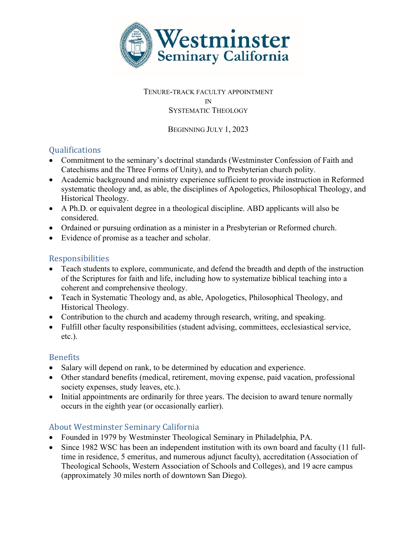

#### TENURE-TRACK FACULTY APPOINTMENT IN SYSTEMATIC THEOLOGY

BEGINNING JULY 1, 2023

# **Qualifications**

- Commitment to the seminary's doctrinal standards (Westminster Confession of Faith and Catechisms and the Three Forms of Unity), and to Presbyterian church polity.
- Academic background and ministry experience sufficient to provide instruction in Reformed systematic theology and, as able, the disciplines of Apologetics, Philosophical Theology, and Historical Theology.
- A Ph.D. or equivalent degree in a theological discipline. ABD applicants will also be considered.
- Ordained or pursuing ordination as a minister in a Presbyterian or Reformed church.
- Evidence of promise as a teacher and scholar.

## Responsibilities

- Teach students to explore, communicate, and defend the breadth and depth of the instruction of the Scriptures for faith and life, including how to systematize biblical teaching into a coherent and comprehensive theology.
- Teach in Systematic Theology and, as able, Apologetics, Philosophical Theology, and Historical Theology.
- Contribution to the church and academy through research, writing, and speaking.
- Fulfill other faculty responsibilities (student advising, committees, ecclesiastical service, etc.).

# **Benefits**

- Salary will depend on rank, to be determined by education and experience.
- Other standard benefits (medical, retirement, moving expense, paid vacation, professional society expenses, study leaves, etc.).
- Initial appointments are ordinarily for three years. The decision to award tenure normally occurs in the eighth year (or occasionally earlier).

## About Westminster Seminary California

- Founded in 1979 by Westminster Theological Seminary in Philadelphia, PA.
- Since 1982 WSC has been an independent institution with its own board and faculty (11 fulltime in residence, 5 emeritus, and numerous adjunct faculty), accreditation (Association of Theological Schools, Western Association of Schools and Colleges), and 19 acre campus (approximately 30 miles north of downtown San Diego).